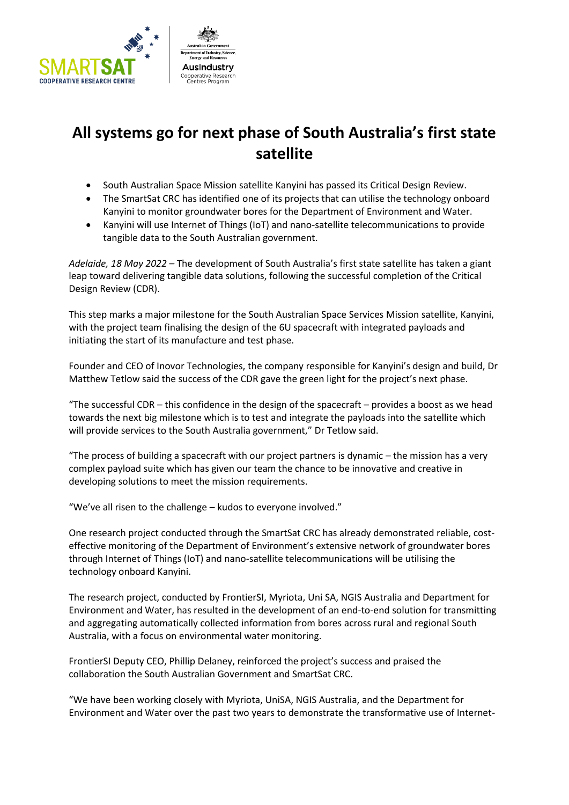

## **All systems go for next phase of South Australia's first state satellite**

- South Australian Space Mission satellite Kanyini has passed its Critical Design Review.
- The SmartSat CRC has identified one of its projects that can utilise the technology onboard Kanyini to monitor groundwater bores for the Department of Environment and Water.
- Kanyini will use Internet of Things (IoT) and nano-satellite telecommunications to provide tangible data to the South Australian government.

*Adelaide, 18 May 2022* – The development of South Australia's first state satellite has taken a giant leap toward delivering tangible data solutions, following the successful completion of the Critical Design Review (CDR).

This step marks a major milestone for the South Australian Space Services Mission satellite, Kanyini, with the project team finalising the design of the 6U spacecraft with integrated payloads and initiating the start of its manufacture and test phase.

Founder and CEO of Inovor Technologies, the company responsible for Kanyini's design and build, Dr Matthew Tetlow said the success of the CDR gave the green light for the project's next phase.

"The successful CDR – this confidence in the design of the spacecraft – provides a boost as we head towards the next big milestone which is to test and integrate the payloads into the satellite which will provide services to the South Australia government," Dr Tetlow said.

"The process of building a spacecraft with our project partners is dynamic – the mission has a very complex payload suite which has given our team the chance to be innovative and creative in developing solutions to meet the mission requirements.

"We've all risen to the challenge – kudos to everyone involved."

One research project conducted through the SmartSat CRC has already demonstrated reliable, costeffective monitoring of the Department of Environment's extensive network of groundwater bores through Internet of Things (IoT) and nano-satellite telecommunications will be utilising the technology onboard Kanyini.

The research project, conducted by FrontierSI, Myriota, Uni SA, NGIS Australia and Department for Environment and Water, has resulted in the development of an end-to-end solution for transmitting and aggregating automatically collected information from bores across rural and regional South Australia, with a focus on environmental water monitoring.

FrontierSI Deputy CEO, Phillip Delaney, reinforced the project's success and praised the collaboration the South Australian Government and SmartSat CRC.

"We have been working closely with Myriota, UniSA, NGIS Australia, and the Department for Environment and Water over the past two years to demonstrate the transformative use of Internet-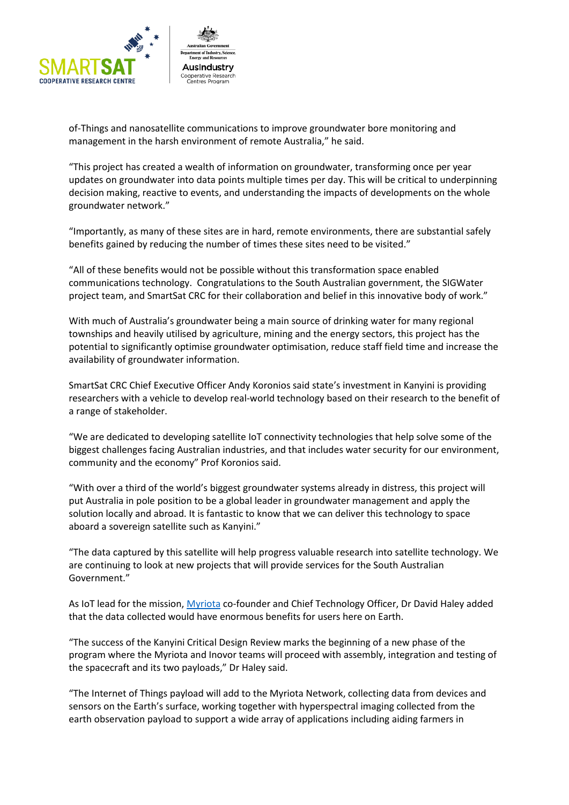

of-Things and nanosatellite communications to improve groundwater bore monitoring and management in the harsh environment of remote Australia," he said.

"This project has created a wealth of information on groundwater, transforming once per year updates on groundwater into data points multiple times per day. This will be critical to underpinning decision making, reactive to events, and understanding the impacts of developments on the whole groundwater network."

"Importantly, as many of these sites are in hard, remote environments, there are substantial safely benefits gained by reducing the number of times these sites need to be visited."

"All of these benefits would not be possible without this transformation space enabled communications technology. Congratulations to the South Australian government, the SIGWater project team, and SmartSat CRC for their collaboration and belief in this innovative body of work."

With much of Australia's groundwater being a main source of drinking water for many regional townships and heavily utilised by agriculture, mining and the energy sectors, this project has the potential to significantly optimise groundwater optimisation, reduce staff field time and increase the availability of groundwater information.

SmartSat CRC Chief Executive Officer Andy Koronios said state's investment in Kanyini is providing researchers with a vehicle to develop real-world technology based on their research to the benefit of a range of stakeholder.

"We are dedicated to developing satellite IoT connectivity technologies that help solve some of the biggest challenges facing Australian industries, and that includes water security for our environment, community and the economy" Prof Koronios said.

"With over a third of the world's biggest groundwater systems already in distress, this project will put Australia in pole position to be a global leader in groundwater management and apply the solution locally and abroad. It is fantastic to know that we can deliver this technology to space aboard a sovereign satellite such as Kanyini."

"The data captured by this satellite will help progress valuable research into satellite technology. We are continuing to look at new projects that will provide services for the South Australian Government."

As IoT lead for the mission, [Myriota](https://myriota.com/) co-founder and Chief Technology Officer, Dr David Haley added that the data collected would have enormous benefits for users here on Earth.

"The success of the Kanyini Critical Design Review marks the beginning of a new phase of the program where the Myriota and Inovor teams will proceed with assembly, integration and testing of the spacecraft and its two payloads," Dr Haley said.

"The Internet of Things payload will add to the Myriota Network, collecting data from devices and sensors on the Earth's surface, working together with hyperspectral imaging collected from the earth observation payload to support a wide array of applications including aiding farmers in